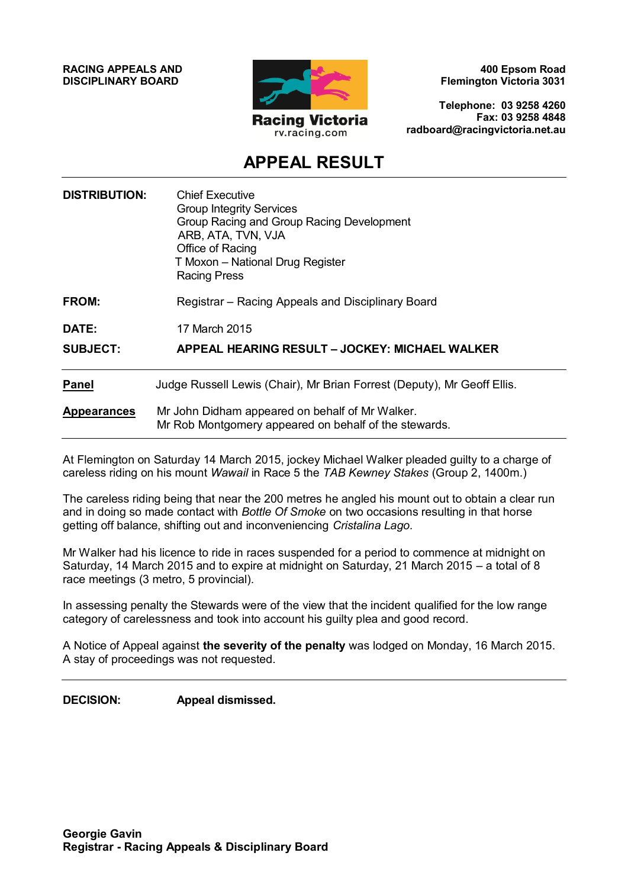**RACING APPEALS AND DISCIPLINARY BOARD**



**400 Epsom Road Flemington Victoria 3031**

**Telephone: 03 9258 4260 Fax: 03 9258 4848 radboard@racingvictoria.net.au**

## **APPEAL RESULT**

| <b>DISTRIBUTION:</b> | <b>Chief Executive</b><br><b>Group Integrity Services</b><br>Group Racing and Group Racing Development<br>ARB, ATA, TVN, VJA<br>Office of Racing<br>T Moxon - National Drug Register<br><b>Racing Press</b> |
|----------------------|-------------------------------------------------------------------------------------------------------------------------------------------------------------------------------------------------------------|
| <b>FROM:</b>         | Registrar – Racing Appeals and Disciplinary Board                                                                                                                                                           |
| DATE:                | 17 March 2015                                                                                                                                                                                               |
| <b>SUBJECT:</b>      | APPEAL HEARING RESULT – JOCKEY: MICHAEL WALKER                                                                                                                                                              |
| <b>Panel</b>         | Judge Russell Lewis (Chair), Mr Brian Forrest (Deputy), Mr Geoff Ellis.                                                                                                                                     |
| <b>Appearances</b>   | Mr John Didham appeared on behalf of Mr Walker.<br>Mr Rob Montgomery appeared on behalf of the stewards.                                                                                                    |

At Flemington on Saturday 14 March 2015, jockey Michael Walker pleaded guilty to a charge of careless riding on his mount *Wawail* in Race 5 the *TAB Kewney Stakes* (Group 2, 1400m.)

The careless riding being that near the 200 metres he angled his mount out to obtain a clear run and in doing so made contact with *Bottle Of Smoke* on two occasions resulting in that horse getting off balance, shifting out and inconveniencing *Cristalina Lago.*

Mr Walker had his licence to ride in races suspended for a period to commence at midnight on Saturday, 14 March 2015 and to expire at midnight on Saturday, 21 March 2015 – a total of 8 race meetings (3 metro, 5 provincial).

In assessing penalty the Stewards were of the view that the incident qualified for the low range category of carelessness and took into account his guilty plea and good record.

A Notice of Appeal against **the severity of the penalty** was lodged on Monday, 16 March 2015. A stay of proceedings was not requested.

**DECISION: Appeal dismissed.**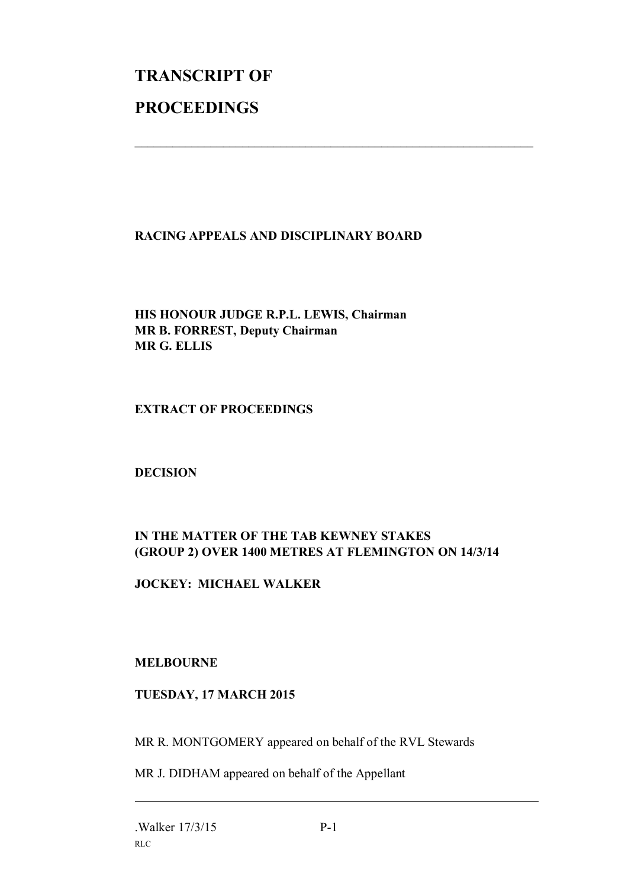# **TRANSCRIPT OF PROCEEDINGS**

#### **RACING APPEALS AND DISCIPLINARY BOARD**

 $\mathcal{L}_\text{max}$  , and the contribution of the contribution of the contribution of the contribution of the contribution of the contribution of the contribution of the contribution of the contribution of the contribution of t

#### **HIS HONOUR JUDGE R.P.L. LEWIS, Chairman MR B. FORREST, Deputy Chairman MR G. ELLIS**

#### **EXTRACT OF PROCEEDINGS**

#### **DECISION**

### **IN THE MATTER OF THE TAB KEWNEY STAKES (GROUP 2) OVER 1400 METRES AT FLEMINGTON ON 14/3/14**

#### **JOCKEY: MICHAEL WALKER**

#### **MELBOURNE**

#### **TUESDAY, 17 MARCH 2015**

MR R. MONTGOMERY appeared on behalf of the RVL Stewards

MR J. DIDHAM appeared on behalf of the Appellant